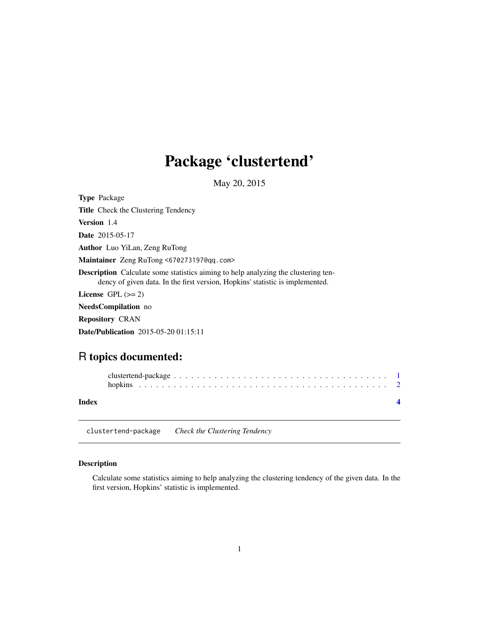# <span id="page-0-0"></span>Package 'clustertend'

May 20, 2015

| <b>Type Package</b>                                                                                                                                                        |
|----------------------------------------------------------------------------------------------------------------------------------------------------------------------------|
| <b>Title</b> Check the Clustering Tendency                                                                                                                                 |
| Version 1.4                                                                                                                                                                |
| <b>Date</b> 2015-05-17                                                                                                                                                     |
| <b>Author</b> Luo YiLan, Zeng RuTong                                                                                                                                       |
| Maintainer Zeng RuTong <670273197@qq.com>                                                                                                                                  |
| <b>Description</b> Calculate some statistics aiming to help analyzing the clustering ten-<br>dency of given data. In the first version, Hopkins' statistic is implemented. |
| License $GPL \, (>= 2)$                                                                                                                                                    |
| NeedsCompilation no                                                                                                                                                        |
| <b>Repository CRAN</b>                                                                                                                                                     |
| <b>Date/Publication</b> 2015-05-20 01:15:11                                                                                                                                |

# R topics documented:

| Index |  |
|-------|--|

clustertend-package *Check the Clustering Tendency*

# Description

Calculate some statistics aiming to help analyzing the clustering tendency of the given data. In the first version, Hopkins' statistic is implemented.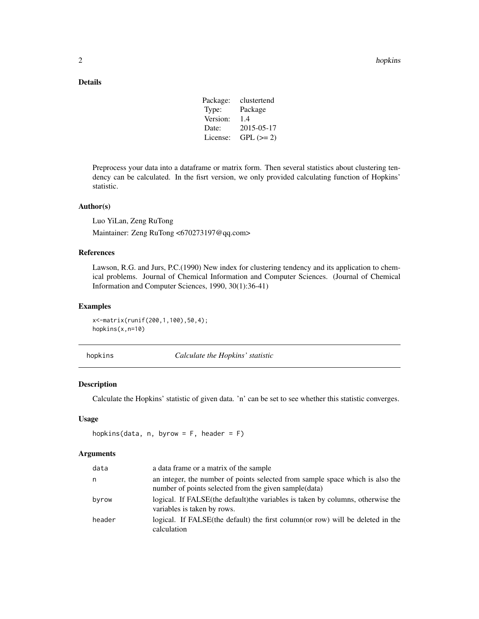## <span id="page-1-0"></span>Details

| Package: | clustertend |
|----------|-------------|
| Type:    | Package     |
| Version: | 1.4         |
| Date:    | 2015-05-17  |
| License: | $GPL (= 2)$ |

Preprocess your data into a dataframe or matrix form. Then several statistics about clustering tendency can be calculated. In the fisrt version, we only provided calculating function of Hopkins' statistic.

#### Author(s)

Luo YiLan, Zeng RuTong

Maintainer: Zeng RuTong <670273197@qq.com>

### References

Lawson, R.G. and Jurs, P.C.(1990) New index for clustering tendency and its application to chemical problems. Journal of Chemical Information and Computer Sciences. (Journal of Chemical Information and Computer Sciences, 1990, 30(1):36-41)

#### Examples

x<-matrix(runif(200,1,100),50,4); hopkins(x,n=10)

hopkins *Calculate the Hopkins' statistic*

#### Description

Calculate the Hopkins' statistic of given data. 'n' can be set to see whether this statistic converges.

#### Usage

```
hopkins(data, n, byrow = F, header = F)
```
#### Arguments

| data   | a data frame or a matrix of the sample                                                                                                  |
|--------|-----------------------------------------------------------------------------------------------------------------------------------------|
| n      | an integer, the number of points selected from sample space which is also the<br>number of points selected from the given sample (data) |
| byrow  | logical. If FALSE (the default) the variables is taken by columns, otherwise the<br>variables is taken by rows.                         |
| header | logical. If FALSE (the default) the first column (or row) will be deleted in the<br>calculation                                         |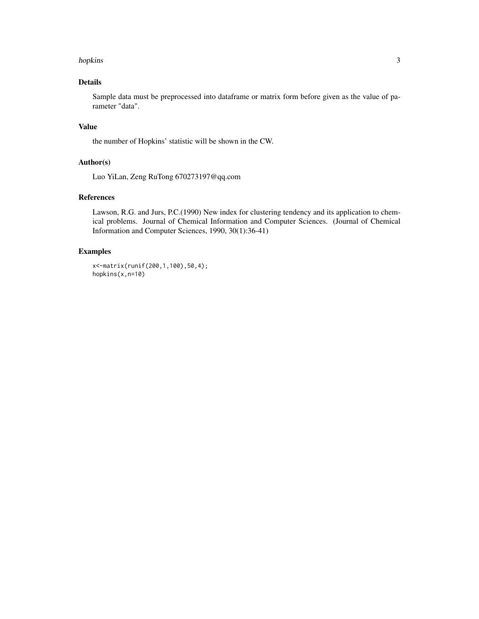#### hopkins 3

# Details

Sample data must be preprocessed into dataframe or matrix form before given as the value of parameter "data".

#### Value

the number of Hopkins' statistic will be shown in the CW.

#### Author(s)

Luo YiLan, Zeng RuTong 670273197@qq.com

### References

Lawson, R.G. and Jurs, P.C.(1990) New index for clustering tendency and its application to chemical problems. Journal of Chemical Information and Computer Sciences. (Journal of Chemical Information and Computer Sciences, 1990, 30(1):36-41)

#### Examples

```
x<-matrix(runif(200,1,100),50,4);
hopkins(x,n=10)
```